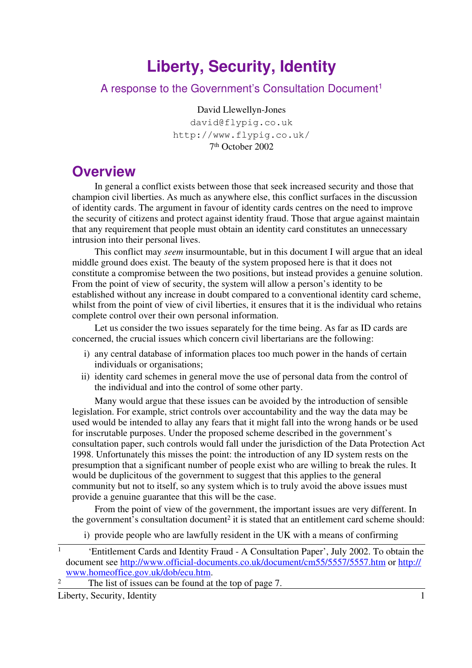# **Liberty, Security, Identity**

#### A response to the Government's Consultation Document<sup>1</sup>

#### David Llewellyn-Jones

david@flypig.co.uk http://www.flypig.co.uk/ 7 th October 2002

#### **Overview**

In general a conflict exists between those that seek increased security and those that champion civil liberties. As much as anywhere else, this conflict surfaces in the discussion of identity cards. The argument in favour of identity cards centres on the need to improve the security of citizens and protect against identity fraud. Those that argue against maintain that any requirement that people must obtain an identity card constitutes an unnecessary intrusion into their personal lives.

This conflict may *seem* insurmountable, but in this document I will argue that an ideal middle ground does exist. The beauty of the system proposed here is that it does not constitute a compromise between the two positions, but instead provides a genuine solution. From the point of view of security, the system will allow a person's identity to be established without any increase in doubt compared to a conventional identity card scheme, whilst from the point of view of civil liberties, it ensures that it is the individual who retains complete control over their own personal information.

Let us consider the two issues separately for the time being. As far as ID cards are concerned, the crucial issues which concern civil libertarians are the following:

- i) any central database of information places too much power in the hands of certain individuals or organisations;
- ii) identity card schemes in general move the use of personal data from the control of the individual and into the control of some other party.

Many would argue that these issues can be avoided by the introduction of sensible legislation. For example, strict controls over accountability and the way the data may be used would be intended to allay any fears that it might fall into the wrong hands or be used for inscrutable purposes. Under the proposed scheme described in the government's consultation paper, such controls would fall under the jurisdiction of the Data Protection Act 1998. Unfortunately this misses the point: the introduction of any ID system rests on the presumption that a significant number of people exist who are willing to break the rules. It would be duplicitous of the government to suggest that this applies to the general community but not to itself, so any system which is to truly avoid the above issues must provide a genuine guarantee that this will be the case.

From the point of view of the government, the important issues are very different. In the government's consultation document<sup>2</sup> it is stated that an entitlement card scheme should:

i) provide people who are lawfully resident in the UK with a means of confirming

 $\frac{2}{\pi}$  The list of issues can be found at the top of page 7.

 $\overline{1}$ 'Entitlement Cards and Identity Fraud - A Consultation Paper', July 2002. To obtain the document see http://www.official-documents.co.uk/document/cm55/5557/5557.htm or http:// www.homeoffice.gov.uk/dob/ecu.htm.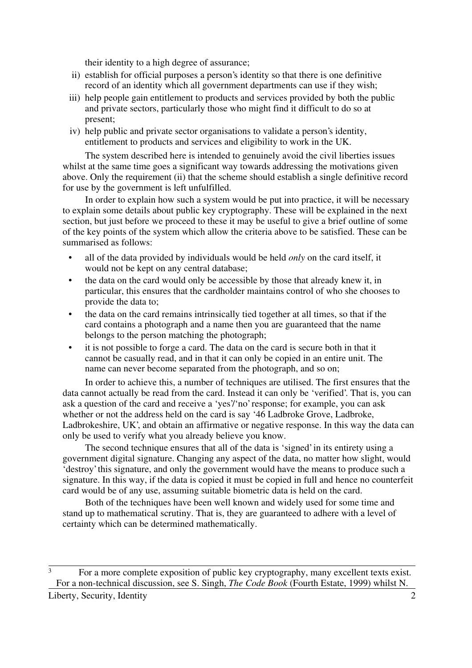their identity to a high degree of assurance;

- ii) establish for official purposes a person's identity so that there is one definitive record of an identity which all government departments can use if they wish;
- iii) help people gain entitlement to products and services provided by both the public and private sectors, particularly those who might find it difficult to do so at present;
- iv) help public and private sector organisations to validate a person's identity, entitlement to products and services and eligibility to work in the UK.

The system described here is intended to genuinely avoid the civil liberties issues whilst at the same time goes a significant way towards addressing the motivations given above. Only the requirement (ii) that the scheme should establish a single definitive record for use by the government is left unfulfilled.

In order to explain how such a system would be put into practice, it will be necessary to explain some details about public key cryptography. These will be explained in the next section, but just before we proceed to these it may be useful to give a brief outline of some of the key points of the system which allow the criteria above to be satisfied. These can be summarised as follows:

- all of the data provided by individuals would be held *only* on the card itself, it would not be kept on any central database;
- the data on the card would only be accessible by those that already knew it, in particular, this ensures that the cardholder maintains control of who she chooses to provide the data to;
- the data on the card remains intrinsically tied together at all times, so that if the card contains a photograph and a name then you are guaranteed that the name belongs to the person matching the photograph;
- it is not possible to forge a card. The data on the card is secure both in that it cannot be casually read, and in that it can only be copied in an entire unit. The name can never become separated from the photograph, and so on;

In order to achieve this, a number of techniques are utilised. The first ensures that the data cannot actually be read from the card. Instead it can only be 'verified'. That is, you can ask a question of the card and receive a 'yes'/'no' response; for example, you can ask whether or not the address held on the card is say '46 Ladbroke Grove, Ladbroke, Ladbrokeshire, UK', and obtain an affirmative or negative response. In this way the data can only be used to verify what you already believe you know.

The second technique ensures that all of the data is 'signed' in its entirety using a government digital signature. Changing any aspect of the data, no matter how slight, would 'destroy' this signature, and only the government would have the means to produce such a signature. In this way, if the data is copied it must be copied in full and hence no counterfeit card would be of any use, assuming suitable biometric data is held on the card.

Both of the techniques have been well known and widely used for some time and stand up to mathematical scrutiny. That is, they are guaranteed to adhere with a level of certainty which can be determined mathematically.

 $\overline{3}$  For a more complete exposition of public key cryptography, many excellent texts exist. For a non-technical discussion, see S. Singh, *The Code Book* (Fourth Estate, 1999) whilst N.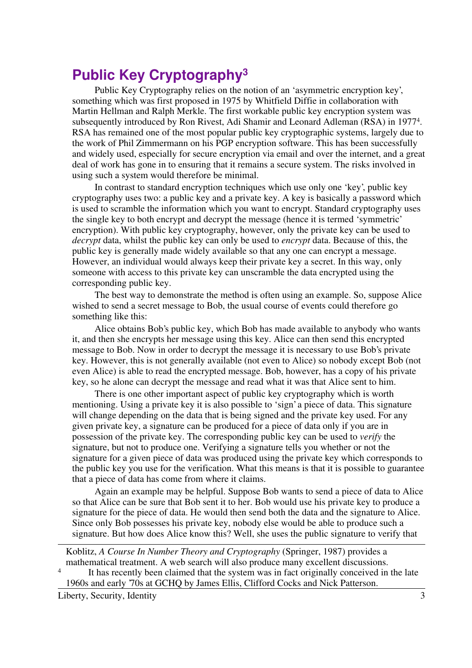### **Public Key Cryptography<sup>3</sup>**

Public Key Cryptography relies on the notion of an 'asymmetric encryption key', something which was first proposed in 1975 by Whitfield Diffie in collaboration with Martin Hellman and Ralph Merkle. The first workable public key encryption system was subsequently introduced by Ron Rivest, Adi Shamir and Leonard Adleman (RSA) in 1977<sup>4</sup> . RSA has remained one of the most popular public key cryptographic systems, largely due to the work of Phil Zimmermann on his PGP encryption software. This has been successfully and widely used, especially for secure encryption via email and over the internet, and a great deal of work has gone in to ensuring that it remains a secure system. The risks involved in using such a system would therefore be minimal.

In contrast to standard encryption techniques which use only one 'key', public key cryptography uses two: a public key and a private key. A key is basically a password which is used to scramble the information which you want to encrypt. Standard cryptography uses the single key to both encrypt and decrypt the message (hence it is termed 'symmetric' encryption). With public key cryptography, however, only the private key can be used to *decrypt* data, whilst the public key can only be used to *encrypt* data. Because of this, the public key is generally made widely available so that any one can encrypt a message. However, an individual would always keep their private key a secret. In this way, only someone with access to this private key can unscramble the data encrypted using the corresponding public key.

The best way to demonstrate the method is often using an example. So, suppose Alice wished to send a secret message to Bob, the usual course of events could therefore go something like this:

Alice obtains Bob's public key, which Bob has made available to anybody who wants it, and then she encrypts her message using this key. Alice can then send this encrypted message to Bob. Now in order to decrypt the message it is necessary to use Bob's private key. However, this is not generally available (not even to Alice) so nobody except Bob (not even Alice) is able to read the encrypted message. Bob, however, has a copy of his private key, so he alone can decrypt the message and read what it was that Alice sent to him.

There is one other important aspect of public key cryptography which is worth mentioning. Using a private key it is also possible to 'sign' a piece of data. This signature will change depending on the data that is being signed and the private key used. For any given private key, a signature can be produced for a piece of data only if you are in possession of the private key. The corresponding public key can be used to *verify* the signature, but not to produce one. Verifying a signature tells you whether or not the signature for a given piece of data was produced using the private key which corresponds to the public key you use for the verification. What this means is that it is possible to guarantee that a piece of data has come from where it claims.

Again an example may be helpful. Suppose Bob wants to send a piece of data to Alice so that Alice can be sure that Bob sent it to her. Bob would use his private key to produce a signature for the piece of data. He would then send both the data and the signature to Alice. Since only Bob possesses his private key, nobody else would be able to produce such a signature. But how does Alice know this? Well, she uses the public signature to verify that

Koblitz, *A Course In Number Theory and Cryptography* (Springer, 1987) provides a mathematical treatment. A web search will also produce many excellent discussions.

4 It has recently been claimed that the system was in fact originally conceived in the late 1960s and early '70s at GCHQ by James Ellis, Clifford Cocks and Nick Patterson.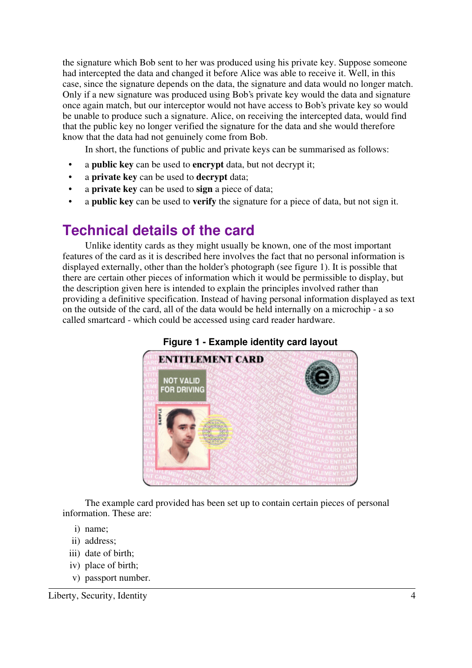the signature which Bob sent to her was produced using his private key. Suppose someone had intercepted the data and changed it before Alice was able to receive it. Well, in this case, since the signature depends on the data, the signature and data would no longer match. Only if a new signature was produced using Bob's private key would the data and signature once again match, but our interceptor would not have access to Bob's private key so would be unable to produce such a signature. Alice, on receiving the intercepted data, would find that the public key no longer verified the signature for the data and she would therefore know that the data had not genuinely come from Bob.

In short, the functions of public and private keys can be summarised as follows:

- a **public key** can be used to **encrypt** data, but not decrypt it;
- a **private key** can be used to **decrypt** data;
- a **private key** can be used to **sign** a piece of data;
- a **public key** can be used to **verify** the signature for a piece of data, but not sign it.

## **Technical details of the card**

Unlike identity cards as they might usually be known, one of the most important features of the card as it is described here involves the fact that no personal information is displayed externally, other than the holder's photograph (see figure 1). It is possible that there are certain other pieces of information which it would be permissible to display, but the description given here is intended to explain the principles involved rather than providing a definitive specification. Instead of having personal information displayed as text on the outside of the card, all of the data would be held internally on a microchip - a so called smartcard - which could be accessed using card reader hardware.



**Figure 1 - Example identity card layout**

The example card provided has been set up to contain certain pieces of personal information. These are:

- i) name;
- ii) address;
- iii) date of birth;
- iv) place of birth;
- v) passport number.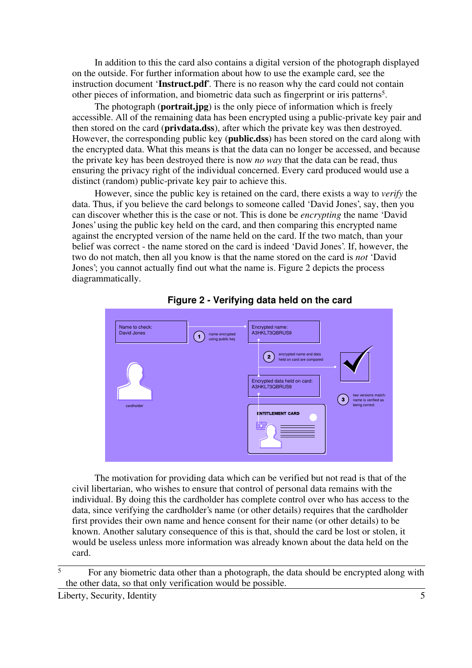In addition to this the card also contains a digital version of the photograph displayed on the outside. For further information about how to use the example card, see the instruction document '**Instruct.pdf**'. There is no reason why the card could not contain other pieces of information, and biometric data such as fingerprint or iris patterns<sup>5</sup>.

The photograph (**portrait.jpg**) is the only piece of information which is freely accessible. All of the remaining data has been encrypted using a public-private key pair and then stored on the card (**privdata.dss**), after which the private key was then destroyed. However, the corresponding public key (**public.dss**) has been stored on the card along with the encrypted data. What this means is that the data can no longer be accessed, and because the private key has been destroyed there is now *no way* that the data can be read, thus ensuring the privacy right of the individual concerned. Every card produced would use a distinct (random) public-private key pair to achieve this.

However, since the public key is retained on the card, there exists a way to *verify* the data. Thus, if you believe the card belongs to someone called 'David Jones', say, then you can discover whether this is the case or not. This is done be *encrypting* the name 'David Jones' using the public key held on the card, and then comparing this encrypted name against the encrypted version of the name held on the card. If the two match, than your belief was correct - the name stored on the card is indeed 'David Jones'. If, however, the two do not match, then all you know is that the name stored on the card is *not* 'David Jones'; you cannot actually find out what the name is. Figure 2 depicts the process diagrammatically.





The motivation for providing data which can be verified but not read is that of the civil libertarian, who wishes to ensure that control of personal data remains with the individual. By doing this the cardholder has complete control over who has access to the data, since verifying the cardholder's name (or other details) requires that the cardholder first provides their own name and hence consent for their name (or other details) to be known. Another salutary consequence of this is that, should the card be lost or stolen, it would be useless unless more information was already known about the data held on the card.

 $\frac{5}{5}$  For any biometric data other than a photograph, the data should be encrypted along with the other data, so that only verification would be possible.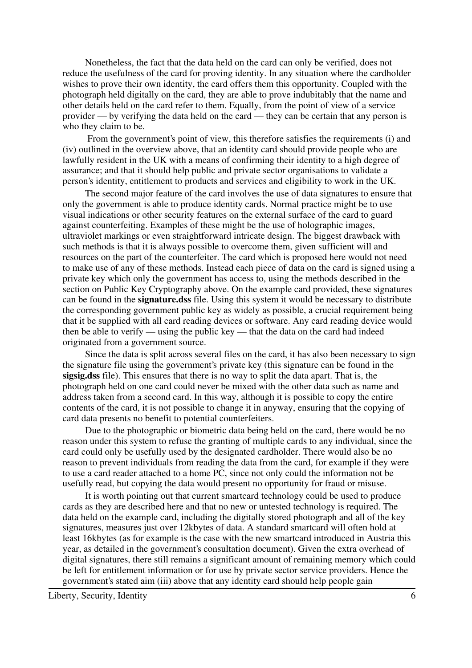Nonetheless, the fact that the data held on the card can only be verified, does not reduce the usefulness of the card for proving identity. In any situation where the cardholder wishes to prove their own identity, the card offers them this opportunity. Coupled with the photograph held digitally on the card, they are able to prove indubitably that the name and other details held on the card refer to them. Equally, from the point of view of a service provider — by verifying the data held on the card — they can be certain that any person is who they claim to be.

 From the government's point of view, this therefore satisfies the requirements (i) and (iv) outlined in the overview above, that an identity card should provide people who are lawfully resident in the UK with a means of confirming their identity to a high degree of assurance; and that it should help public and private sector organisations to validate a person's identity, entitlement to products and services and eligibility to work in the UK.

The second major feature of the card involves the use of data signatures to ensure that only the government is able to produce identity cards. Normal practice might be to use visual indications or other security features on the external surface of the card to guard against counterfeiting. Examples of these might be the use of holographic images, ultraviolet markings or even straightforward intricate design. The biggest drawback with such methods is that it is always possible to overcome them, given sufficient will and resources on the part of the counterfeiter. The card which is proposed here would not need to make use of any of these methods. Instead each piece of data on the card is signed using a private key which only the government has access to, using the methods described in the section on Public Key Cryptography above. On the example card provided, these signatures can be found in the **signature.dss** file. Using this system it would be necessary to distribute the corresponding government public key as widely as possible, a crucial requirement being that it be supplied with all card reading devices or software. Any card reading device would then be able to verify — using the public key — that the data on the card had indeed originated from a government source.

Since the data is split across several files on the card, it has also been necessary to sign the signature file using the government's private key (this signature can be found in the **sigsig.dss** file). This ensures that there is no way to split the data apart. That is, the photograph held on one card could never be mixed with the other data such as name and address taken from a second card. In this way, although it is possible to copy the entire contents of the card, it is not possible to change it in anyway, ensuring that the copying of card data presents no benefit to potential counterfeiters.

Due to the photographic or biometric data being held on the card, there would be no reason under this system to refuse the granting of multiple cards to any individual, since the card could only be usefully used by the designated cardholder. There would also be no reason to prevent individuals from reading the data from the card, for example if they were to use a card reader attached to a home PC, since not only could the information not be usefully read, but copying the data would present no opportunity for fraud or misuse.

It is worth pointing out that current smartcard technology could be used to produce cards as they are described here and that no new or untested technology is required. The data held on the example card, including the digitally stored photograph and all of the key signatures, measures just over 12kbytes of data. A standard smartcard will often hold at least 16kbytes (as for example is the case with the new smartcard introduced in Austria this year, as detailed in the government's consultation document). Given the extra overhead of digital signatures, there still remains a significant amount of remaining memory which could be left for entitlement information or for use by private sector service providers. Hence the government's stated aim (iii) above that any identity card should help people gain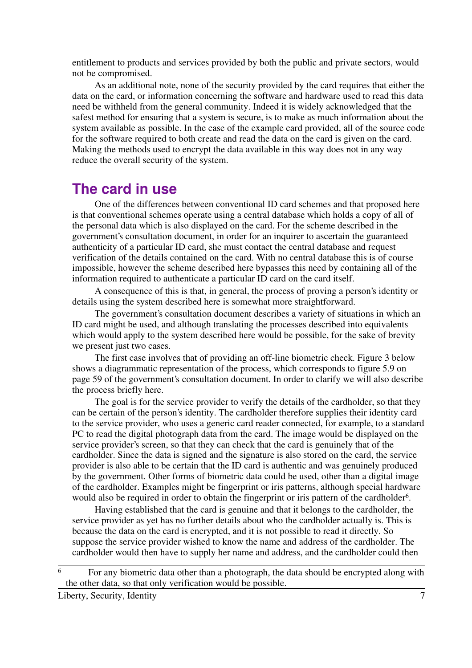entitlement to products and services provided by both the public and private sectors, would not be compromised.

As an additional note, none of the security provided by the card requires that either the data on the card, or information concerning the software and hardware used to read this data need be withheld from the general community. Indeed it is widely acknowledged that the safest method for ensuring that a system is secure, is to make as much information about the system available as possible. In the case of the example card provided, all of the source code for the software required to both create and read the data on the card is given on the card. Making the methods used to encrypt the data available in this way does not in any way reduce the overall security of the system.

#### **The card in use**

One of the differences between conventional ID card schemes and that proposed here is that conventional schemes operate using a central database which holds a copy of all of the personal data which is also displayed on the card. For the scheme described in the government's consultation document, in order for an inquirer to ascertain the guaranteed authenticity of a particular ID card, she must contact the central database and request verification of the details contained on the card. With no central database this is of course impossible, however the scheme described here bypasses this need by containing all of the information required to authenticate a particular ID card on the card itself.

A consequence of this is that, in general, the process of proving a person's identity or details using the system described here is somewhat more straightforward.

The government's consultation document describes a variety of situations in which an ID card might be used, and although translating the processes described into equivalents which would apply to the system described here would be possible, for the sake of brevity we present just two cases.

The first case involves that of providing an off-line biometric check. Figure 3 below shows a diagrammatic representation of the process, which corresponds to figure 5.9 on page 59 of the government's consultation document. In order to clarify we will also describe the process briefly here.

The goal is for the service provider to verify the details of the cardholder, so that they can be certain of the person's identity. The cardholder therefore supplies their identity card to the service provider, who uses a generic card reader connected, for example, to a standard PC to read the digital photograph data from the card. The image would be displayed on the service provider's screen, so that they can check that the card is genuinely that of the cardholder. Since the data is signed and the signature is also stored on the card, the service provider is also able to be certain that the ID card is authentic and was genuinely produced by the government. Other forms of biometric data could be used, other than a digital image of the cardholder. Examples might be fingerprint or iris patterns, although special hardware would also be required in order to obtain the fingerprint or iris pattern of the cardholder<sup>6</sup>.

Having established that the card is genuine and that it belongs to the cardholder, the service provider as yet has no further details about who the cardholder actually is. This is because the data on the card is encrypted, and it is not possible to read it directly. So suppose the service provider wished to know the name and address of the cardholder. The cardholder would then have to supply her name and address, and the cardholder could then

 $\overline{6}$  For any biometric data other than a photograph, the data should be encrypted along with the other data, so that only verification would be possible.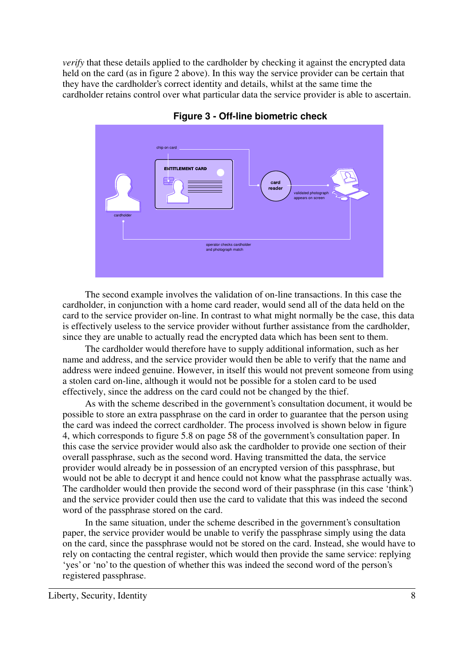*verify* that these details applied to the cardholder by checking it against the encrypted data held on the card (as in figure 2 above). In this way the service provider can be certain that they have the cardholder's correct identity and details, whilst at the same time the cardholder retains control over what particular data the service provider is able to ascertain.



**Figure 3 - Off-line biometric check**

The second example involves the validation of on-line transactions. In this case the cardholder, in conjunction with a home card reader, would send all of the data held on the card to the service provider on-line. In contrast to what might normally be the case, this data is effectively useless to the service provider without further assistance from the cardholder, since they are unable to actually read the encrypted data which has been sent to them.

The cardholder would therefore have to supply additional information, such as her name and address, and the service provider would then be able to verify that the name and address were indeed genuine. However, in itself this would not prevent someone from using a stolen card on-line, although it would not be possible for a stolen card to be used effectively, since the address on the card could not be changed by the thief.

As with the scheme described in the government's consultation document, it would be possible to store an extra passphrase on the card in order to guarantee that the person using the card was indeed the correct cardholder. The process involved is shown below in figure 4, which corresponds to figure 5.8 on page 58 of the government's consultation paper. In this case the service provider would also ask the cardholder to provide one section of their overall passphrase, such as the second word. Having transmitted the data, the service provider would already be in possession of an encrypted version of this passphrase, but would not be able to decrypt it and hence could not know what the passphrase actually was. The cardholder would then provide the second word of their passphrase (in this case 'think') and the service provider could then use the card to validate that this was indeed the second word of the passphrase stored on the card.

In the same situation, under the scheme described in the government's consultation paper, the service provider would be unable to verify the passphrase simply using the data on the card, since the passphrase would not be stored on the card. Instead, she would have to rely on contacting the central register, which would then provide the same service: replying 'yes' or 'no' to the question of whether this was indeed the second word of the person's registered passphrase.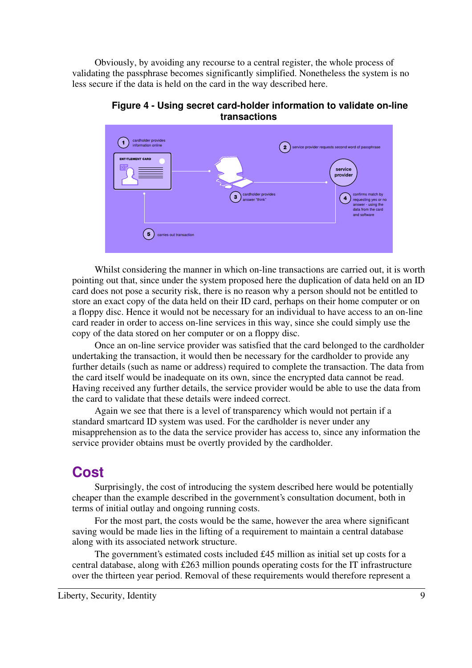Obviously, by avoiding any recourse to a central register, the whole process of validating the passphrase becomes significantly simplified. Nonetheless the system is no less secure if the data is held on the card in the way described here.



**Figure 4 - Using secret card-holder information to validate on-line transactions**

Whilst considering the manner in which on-line transactions are carried out, it is worth pointing out that, since under the system proposed here the duplication of data held on an ID card does not pose a security risk, there is no reason why a person should not be entitled to store an exact copy of the data held on their ID card, perhaps on their home computer or on a floppy disc. Hence it would not be necessary for an individual to have access to an on-line card reader in order to access on-line services in this way, since she could simply use the copy of the data stored on her computer or on a floppy disc.

Once an on-line service provider was satisfied that the card belonged to the cardholder undertaking the transaction, it would then be necessary for the cardholder to provide any further details (such as name or address) required to complete the transaction. The data from the card itself would be inadequate on its own, since the encrypted data cannot be read. Having received any further details, the service provider would be able to use the data from the card to validate that these details were indeed correct.

Again we see that there is a level of transparency which would not pertain if a standard smartcard ID system was used. For the cardholder is never under any misapprehension as to the data the service provider has access to, since any information the service provider obtains must be overtly provided by the cardholder.

### **Cost**

Surprisingly, the cost of introducing the system described here would be potentially cheaper than the example described in the government's consultation document, both in terms of initial outlay and ongoing running costs.

For the most part, the costs would be the same, however the area where significant saving would be made lies in the lifting of a requirement to maintain a central database along with its associated network structure.

The government's estimated costs included £45 million as initial set up costs for a central database, along with £263 million pounds operating costs for the IT infrastructure over the thirteen year period. Removal of these requirements would therefore represent a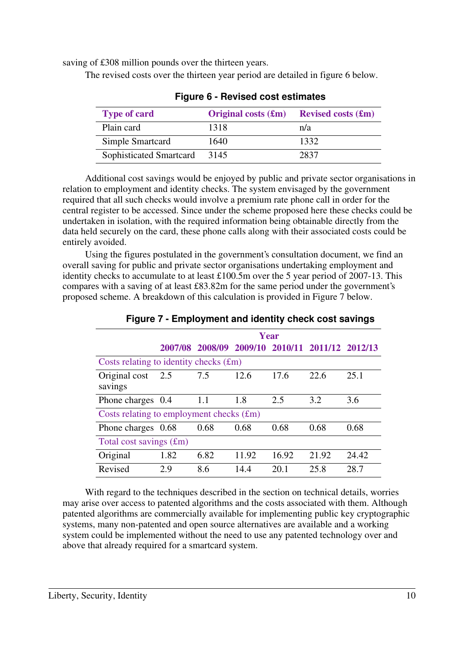saving of £308 million pounds over the thirteen years.

The revised costs over the thirteen year period are detailed in figure 6 below.

| <b>Type of card</b>     | Original costs $(f_m)$ | <b>Revised costs <math>(\text{Im})</math></b> |
|-------------------------|------------------------|-----------------------------------------------|
| Plain card              | 1318                   | n/a                                           |
| Simple Smartcard        | 1640                   | 1332                                          |
| Sophisticated Smartcard | 3145                   | 2837                                          |

**Figure 6 - Revised cost estimates**

Additional cost savings would be enjoyed by public and private sector organisations in relation to employment and identity checks. The system envisaged by the government required that all such checks would involve a premium rate phone call in order for the central register to be accessed. Since under the scheme proposed here these checks could be undertaken in isolation, with the required information being obtainable directly from the data held securely on the card, these phone calls along with their associated costs could be entirely avoided.

Using the figures postulated in the government's consultation document, we find an overall saving for public and private sector organisations undertaking employment and identity checks to accumulate to at least £100.5m over the 5 year period of 2007-13. This compares with a saving of at least £83.82m for the same period under the government's proposed scheme. A breakdown of this calculation is provided in Figure 7 below.

|                                            | Year |      |                                                 |       |       |       |  |  |
|--------------------------------------------|------|------|-------------------------------------------------|-------|-------|-------|--|--|
|                                            |      |      | 2007/08 2008/09 2009/10 2010/11 2011/12 2012/13 |       |       |       |  |  |
| Costs relating to identity checks $(fm)$   |      |      |                                                 |       |       |       |  |  |
| Original cost<br>savings                   | 2.5  | 7.5  | 12.6                                            | 17.6  | 22.6  | 25.1  |  |  |
| Phone charges 0.4                          |      | 1.1  | 1.8                                             | 2.5   | 3.2   | 3.6   |  |  |
| Costs relating to employment checks $(fm)$ |      |      |                                                 |       |       |       |  |  |
| Phone charges 0.68                         |      | 0.68 | 0.68                                            | 0.68  | 0.68  | 0.68  |  |  |
| Total cost savings $(fm)$                  |      |      |                                                 |       |       |       |  |  |
| Original                                   | 1.82 | 6.82 | 11.92                                           | 16.92 | 21.92 | 24.42 |  |  |
| Revised                                    | 2.9  | 8.6  | 14.4                                            | 20.1  | 25.8  | 28.7  |  |  |

**Figure 7 - Employment and identity check cost savings**

With regard to the techniques described in the section on technical details, worries may arise over access to patented algorithms and the costs associated with them. Although patented algorithms are commercially available for implementing public key cryptographic systems, many non-patented and open source alternatives are available and a working system could be implemented without the need to use any patented technology over and above that already required for a smartcard system.